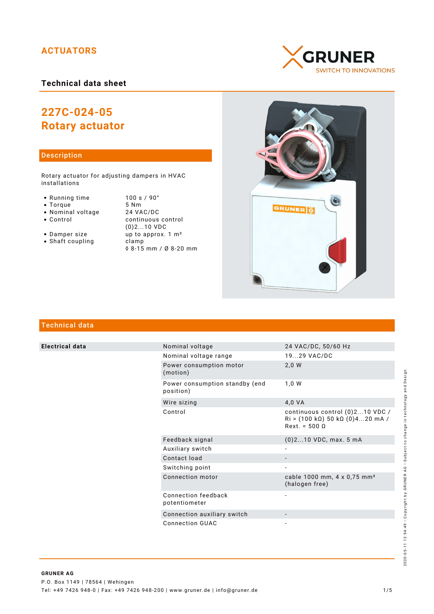# **ACTUATORS**

# **Technical data sheet**

# **227C-024-05 Rotary actuator**

### Description

Rotary actuator for adjusting dampers in HVAC installations

- Running time 100 s / 90°<br>• Torque 5 Nm
- 
- Torque 5 Nm<br>• Nominal voltage 24 VAC/DC • Nominal voltage<br>• Control
- 
- continuous control (0)2...10 VDC • Damper size up to approx. 1 m<sup>2</sup> • Shaft coupling clamp
	- ◊ 8-15 mm / Ø 8-20 mm





# Technical data

**Electrical data** 

|  | Nominal voltage                             | 24 VAC/DC, 50/60 Hz                                                                                                                 |
|--|---------------------------------------------|-------------------------------------------------------------------------------------------------------------------------------------|
|  | Nominal voltage range                       | 1929 VAC/DC                                                                                                                         |
|  | Power consumption motor<br>(motion)         | 2,0 W                                                                                                                               |
|  | Power consumption standby (end<br>position) | 1.0 W                                                                                                                               |
|  | Wire sizing                                 | 4,0 VA                                                                                                                              |
|  | Control                                     | continuous control (0)210 VDC /<br>$\text{Ri} > (100 \text{ k}\Omega) 50 \text{ k}\Omega (0)420 \text{ mA}$<br>$Rext. = 500 \Omega$ |
|  | Feedback signal                             | $(0)$ 210 VDC, max. 5 mA                                                                                                            |
|  | Auxiliary switch                            |                                                                                                                                     |
|  | Contact load                                |                                                                                                                                     |
|  | Switching point                             |                                                                                                                                     |
|  | Connection motor                            | cable 1000 mm, 4 x 0,75 mm <sup>2</sup><br>(halogen free)                                                                           |
|  | Connection feedback<br>potentiometer        |                                                                                                                                     |
|  | Connection auxiliary switch                 |                                                                                                                                     |
|  | <b>Connection GUAC</b>                      |                                                                                                                                     |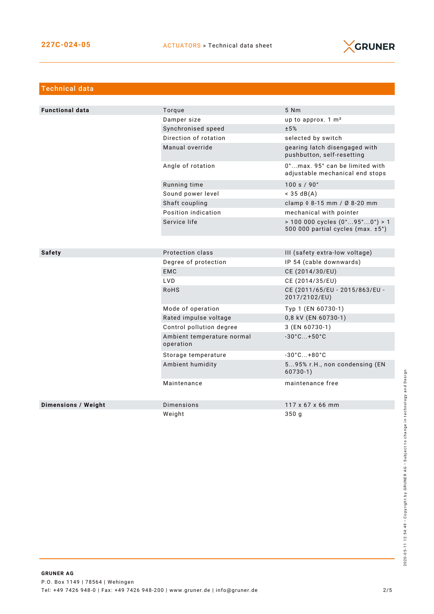

| <b>Technical data</b>      |                                         |                                                                                                          |  |
|----------------------------|-----------------------------------------|----------------------------------------------------------------------------------------------------------|--|
|                            |                                         |                                                                                                          |  |
| <b>Functional data</b>     | Torque                                  | 5 Nm                                                                                                     |  |
|                            | Damper size                             | up to approx. $1 \text{ m}^2$                                                                            |  |
|                            | Synchronised speed                      | ±5%                                                                                                      |  |
|                            | Direction of rotation                   | selected by switch                                                                                       |  |
|                            | Manual override                         | gearing latch disengaged with<br>pushbutton, self-resetting                                              |  |
|                            | Angle of rotation                       | 0°max. 95° can be limited with<br>adjustable mechanical end stops                                        |  |
|                            | Running time                            | 100 s / 90°                                                                                              |  |
|                            | Sound power level                       | $<$ 35 dB(A)                                                                                             |  |
|                            | Shaft coupling                          | clamp 0 8-15 mm / Ø 8-20 mm                                                                              |  |
|                            | Position indication                     | mechanical with pointer                                                                                  |  |
|                            | Service life                            | $> 100000$ cycles $(0^{\circ}95^{\circ}0^{\circ}) > 1$<br>500 000 partial cycles (max. $\pm 5^{\circ}$ ) |  |
|                            |                                         |                                                                                                          |  |
| <b>Safety</b>              | Protection class                        | III (safety extra-low voltage)                                                                           |  |
|                            | Degree of protection                    | IP 54 (cable downwards)                                                                                  |  |
|                            | <b>EMC</b>                              | CE (2014/30/EU)                                                                                          |  |
|                            | LVD                                     | CE (2014/35/EU)                                                                                          |  |
|                            | RoHS                                    | CE (2011/65/EU - 2015/863/EU -<br>2017/2102/EU)                                                          |  |
|                            | Mode of operation                       | Typ 1 (EN 60730-1)                                                                                       |  |
|                            | Rated impulse voltage                   | 0,8 kV (EN 60730-1)                                                                                      |  |
|                            | Control pollution degree                | 3 (EN 60730-1)                                                                                           |  |
|                            | Ambient temperature normal<br>operation | $-30^{\circ}$ C +50 $^{\circ}$ C                                                                         |  |
|                            | Storage temperature                     | $-30^{\circ}$ C +80 $^{\circ}$ C                                                                         |  |
|                            | Ambient humidity                        | 595% r.H., non condensing (EN<br>$60730-1)$                                                              |  |
|                            | Maintenance                             | maintenance free                                                                                         |  |
| <b>Dimensions / Weight</b> | Dimensions                              | 117 x 67 x 66 mm                                                                                         |  |
|                            | Weight                                  | 350 g                                                                                                    |  |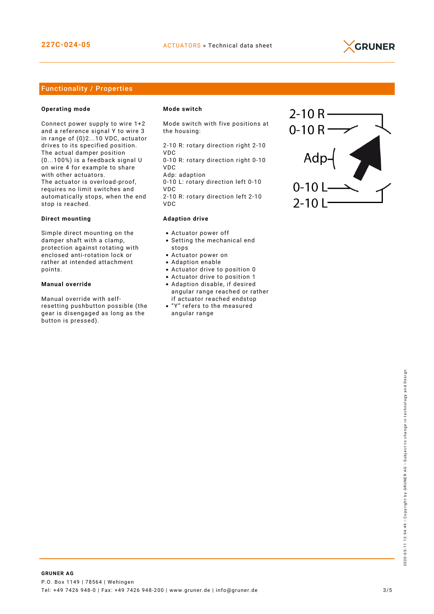

## Functionality / Properties

#### **Operating mode**

Connect power supply to wire 1+2 and a reference signal Y to wire 3 in range of (0)2...10 VDC, actuator drives to its specified position. The actual damper position (0...100%) is a feedback signal U on wire 4 for example to share with other actuators. The actuator is overload-proof, requires no limit switches and automatically stops, when the end stop is reached.

#### **Direct mounting**

Simple direct mounting on the damper shaft with a clamp, protection against rotating with enclosed anti-rotation lock or rather at intended attachment points.

#### **Manual override**

Manual override with selfresetting pushbutton possible (the gear is disengaged as long as the button is pressed).

#### **Mode switch**

Mode switch with five positions at the housing:

2-10 R: rotary direction right 2-10 VDC 0-10 R: rotary direction right 0-10

VDC Adp: adaption

0-10 L: rotary direction left 0-10 VDC 2-10 R: rotary direction left 2-10

VDC

#### **Adaption drive**

- Actuator power off
- Setting the mechanical end stops
- Actuator power on
- Adaption enable
- Actuator drive to position 0
- Actuator drive to position 1
- Adaption disable, if desired angular range reached or rather if actuator reached endstop
- "Y" refers to the measured angular range

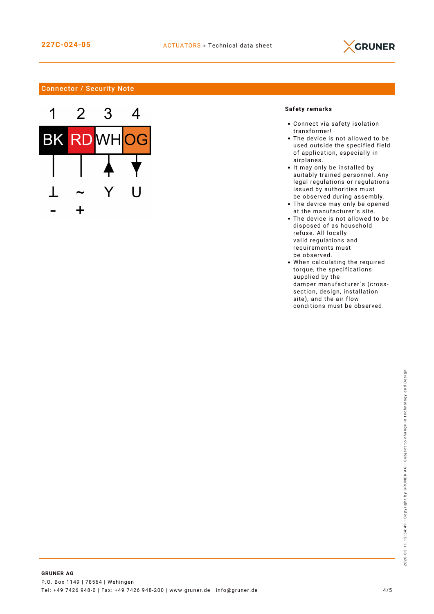

## Connector / Security Note



## **Safety remarks**

- Connect via safety isolation transformer!
- The device is not allowed to be used outside the specified field of application, especially in airplanes.
- It may only be installed by suitably trained personnel. Any legal regulations or regulations issued by authorities must be observed during assembly.
- The device may only be opened at the manufacturer´s site.
- The device is not allowed to be disposed of as household refuse. All locally valid regulations and requirements must be observed.
- When calculating the required torque, the specifications supplied by the damper manufacturer´s (crosssection, design, installation site), and the air flow conditions must be observed.